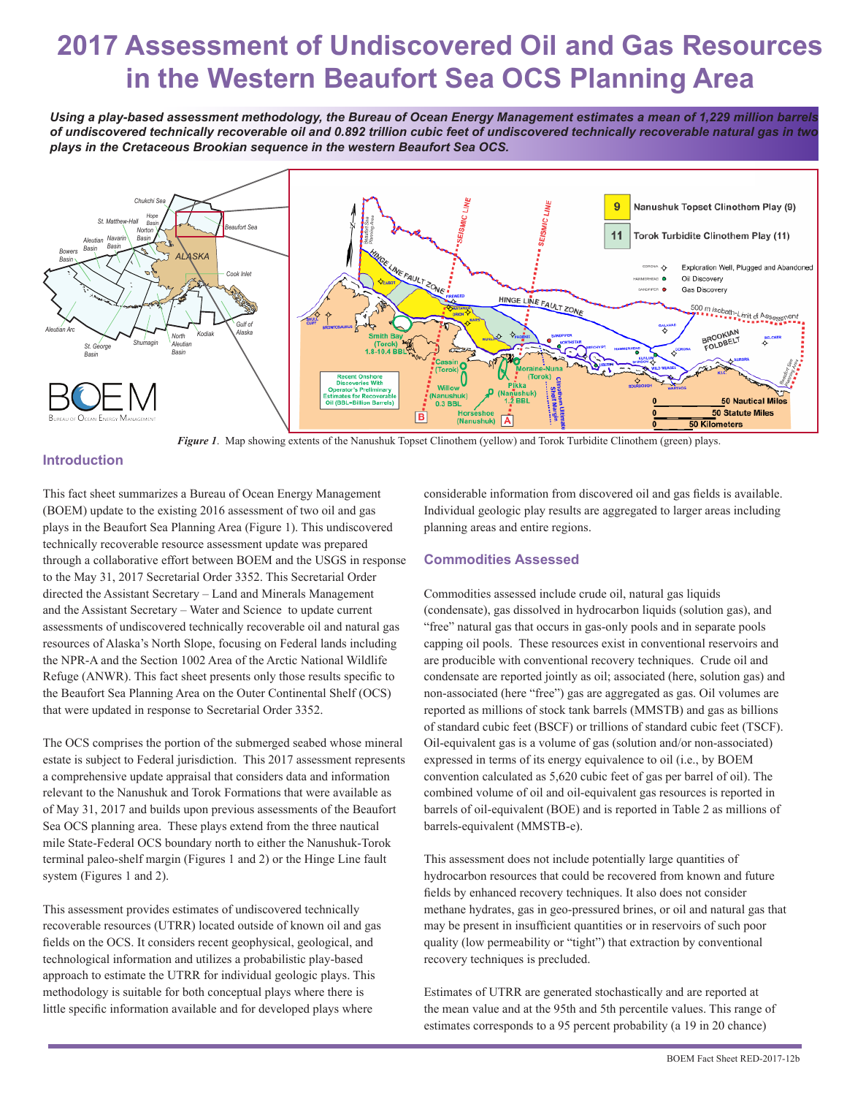# **2017 Assessment of Undiscovered Oil and Gas Resources in the Western Beaufort Sea OCS Planning Area**

*Using a play-based assessment methodology, the Bureau of Ocean Energy Management estimates a mean of 1,229 million barrels of undiscovered technically recoverable oil and 0.892 trillion cubic feet of undiscovered technically recoverable natural gas in two plays in the Cretaceous Brookian sequence in the western Beaufort Sea OCS.*



*Figure 1*. Map showing extents of the Nanushuk Topset Clinothem (yellow) and Torok Turbidite Clinothem (green) plays.

## **Introduction**

This fact sheet summarizes a Bureau of Ocean Energy Management (BOEM) update to the existing 2016 assessment of two oil and gas plays in the Beaufort Sea Planning Area (Figure 1). This undiscovered technically recoverable resource assessment update was prepared through a collaborative effort between BOEM and the USGS in response to the May 31, 2017 Secretarial Order 3352. This Secretarial Order directed the Assistant Secretary – Land and Minerals Management and the Assistant Secretary – Water and Science to update current assessments of undiscovered technically recoverable oil and natural gas resources of Alaska's North Slope, focusing on Federal lands including the NPR-A and the Section 1002 Area of the Arctic National Wildlife Refuge (ANWR). This fact sheet presents only those results specific to the Beaufort Sea Planning Area on the Outer Continental Shelf (OCS) that were updated in response to Secretarial Order 3352.

The OCS comprises the portion of the submerged seabed whose mineral estate is subject to Federal jurisdiction. This 2017 assessment represents a comprehensive update appraisal that considers data and information relevant to the Nanushuk and Torok Formations that were available as of May 31, 2017 and builds upon previous assessments of the Beaufort Sea OCS planning area. These plays extend from the three nautical mile State-Federal OCS boundary north to either the Nanushuk-Torok terminal paleo-shelf margin (Figures 1 and 2) or the Hinge Line fault system (Figures 1 and 2).

This assessment provides estimates of undiscovered technically recoverable resources (UTRR) located outside of known oil and gas fields on the OCS. It considers recent geophysical, geological, and technological information and utilizes a probabilistic play-based approach to estimate the UTRR for individual geologic plays. This methodology is suitable for both conceptual plays where there is little specific information available and for developed plays where

considerable information from discovered oil and gas fields is available. Individual geologic play results are aggregated to larger areas including planning areas and entire regions.

### **Commodities Assessed**

Commodities assessed include crude oil, natural gas liquids (condensate), gas dissolved in hydrocarbon liquids (solution gas), and "free" natural gas that occurs in gas-only pools and in separate pools capping oil pools. These resources exist in conventional reservoirs and are producible with conventional recovery techniques. Crude oil and condensate are reported jointly as oil; associated (here, solution gas) and non-associated (here "free") gas are aggregated as gas. Oil volumes are reported as millions of stock tank barrels (MMSTB) and gas as billions of standard cubic feet (BSCF) or trillions of standard cubic feet (TSCF). Oil-equivalent gas is a volume of gas (solution and/or non-associated) expressed in terms of its energy equivalence to oil (i.e., by BOEM convention calculated as 5,620 cubic feet of gas per barrel of oil). The combined volume of oil and oil-equivalent gas resources is reported in barrels of oil-equivalent (BOE) and is reported in Table 2 as millions of barrels-equivalent (MMSTB-e).

This assessment does not include potentially large quantities of hydrocarbon resources that could be recovered from known and future fields by enhanced recovery techniques. It also does not consider methane hydrates, gas in geo-pressured brines, or oil and natural gas that may be present in insufficient quantities or in reservoirs of such poor quality (low permeability or "tight") that extraction by conventional recovery techniques is precluded.

Estimates of UTRR are generated stochastically and are reported at the mean value and at the 95th and 5th percentile values. This range of estimates corresponds to a 95 percent probability (a 19 in 20 chance)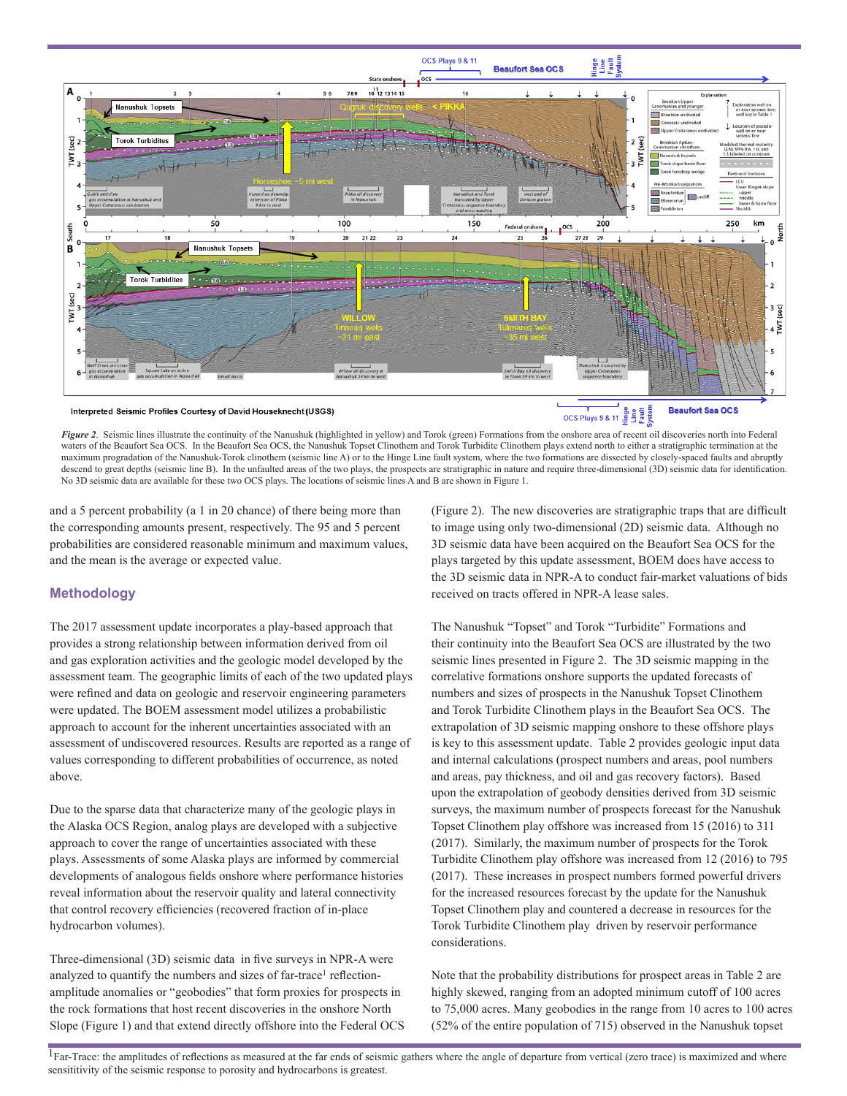

*Figure 2*. Seismic lines illustrate the continuity of the Nanushuk (highlighted in yellow) and Torok (green) Formations from the onshore area of recent oil discoveries north into Federal waters of the Beaufort Sea OCS. In the Beaufort Sea OCS, the Nanushuk Topset Clinothem and Torok Turbidite Clinothem plays extend north to either a stratigraphic termination at the maximum progradation of the Nanushuk-Torok clinothem (seismic line A) or to the Hinge Line fault system, where the two formations are dissected by closely-spaced faults and abruptly descend to great depths (seismic line B). In the unfaulted areas of the two plays, the prospects are stratigraphic in nature and require three-dimensional (3D) seismic data for identification. No 3D seismic data are available for these two OCS plays. The locations of seismic lines A and B are shown in Figure 1.

and a 5 percent probability (a 1 in 20 chance) of there being more than the corresponding amounts present, respectively. The 95 and 5 percent probabilities are considered reasonable minimum and maximum values, and the mean is the average or expected value.

### **Methodology**

The 2017 assessment update incorporates a play-based approach that provides a strong relationship between information derived from oil and gas exploration activities and the geologic model developed by the assessment team. The geographic limits of each of the two updated plays were refined and data on geologic and reservoir engineering parameters were updated. The BOEM assessment model utilizes a probabilistic approach to account for the inherent uncertainties associated with an assessment of undiscovered resources. Results are reported as a range of values corresponding to different probabilities of occurrence, as noted above.

Due to the sparse data that characterize many of the geologic plays in the Alaska OCS Region, analog plays are developed with a subjective approach to cover the range of uncertainties associated with these plays. Assessments of some Alaska plays are informed by commercial developments of analogous fields onshore where performance histories reveal information about the reservoir quality and lateral connectivity that control recovery efficiencies (recovered fraction of in-place hydrocarbon volumes).

Three-dimensional (3D) seismic data in five surveys in NPR-A were analyzed to quantify the numbers and sizes of far-trace<sup>1</sup> reflectionamplitude anomalies or "geobodies" that form proxies for prospects in the rock formations that host recent discoveries in the onshore North Slope (Figure 1) and that extend directly offshore into the Federal OCS (Figure 2). The new discoveries are stratigraphic traps that are difficult to image using only two-dimensional (2D) seismic data. Although no 3D seismic data have been acquired on the Beaufort Sea OCS for the plays targeted by this update assessment, BOEM does have access to the 3D seismic data in NPR-A to conduct fair-market valuations of bids received on tracts offered in NPR-A lease sales.

The Nanushuk "Topset" and Torok "Turbidite" Formations and their continuity into the Beaufort Sea OCS are illustrated by the two seismic lines presented in Figure 2. The 3D seismic mapping in the correlative formations onshore supports the updated forecasts of numbers and sizes of prospects in the Nanushuk Topset Clinothem and Torok Turbidite Clinothem plays in the Beaufort Sea OCS. The extrapolation of 3D seismic mapping onshore to these offshore plays is key to this assessment update. Table 2 provides geologic input data and internal calculations (prospect numbers and areas, pool numbers and areas, pay thickness, and oil and gas recovery factors). Based upon the extrapolation of geobody densities derived from 3D seismic surveys, the maximum number of prospects forecast for the Nanushuk Topset Clinothem play offshore was increased from 15 (2016) to 311 (2017). Similarly, the maximum number of prospects for the Torok Turbidite Clinothem play offshore was increased from 12 (2016) to 795 (2017). These increases in prospect numbers formed powerful drivers for the increased resources forecast by the update for the Nanushuk Topset Clinothem play and countered a decrease in resources for the Torok Turbidite Clinothem play driven by reservoir performance considerations.

Note that the probability distributions for prospect areas in Table 2 are highly skewed, ranging from an adopted minimum cutoff of 100 acres to 75,000 acres. Many geobodies in the range from 10 acres to 100 acres (52% of the entire population of 715) observed in the Nanushuk topset

 $1$ Far-Trace: the amplitudes of reflections as measured at the far ends of seismic gathers where the angle of departure from vertical (zero trace) is maximized and where sensititivity of the seismic response to porosity and hydrocarbons is greatest.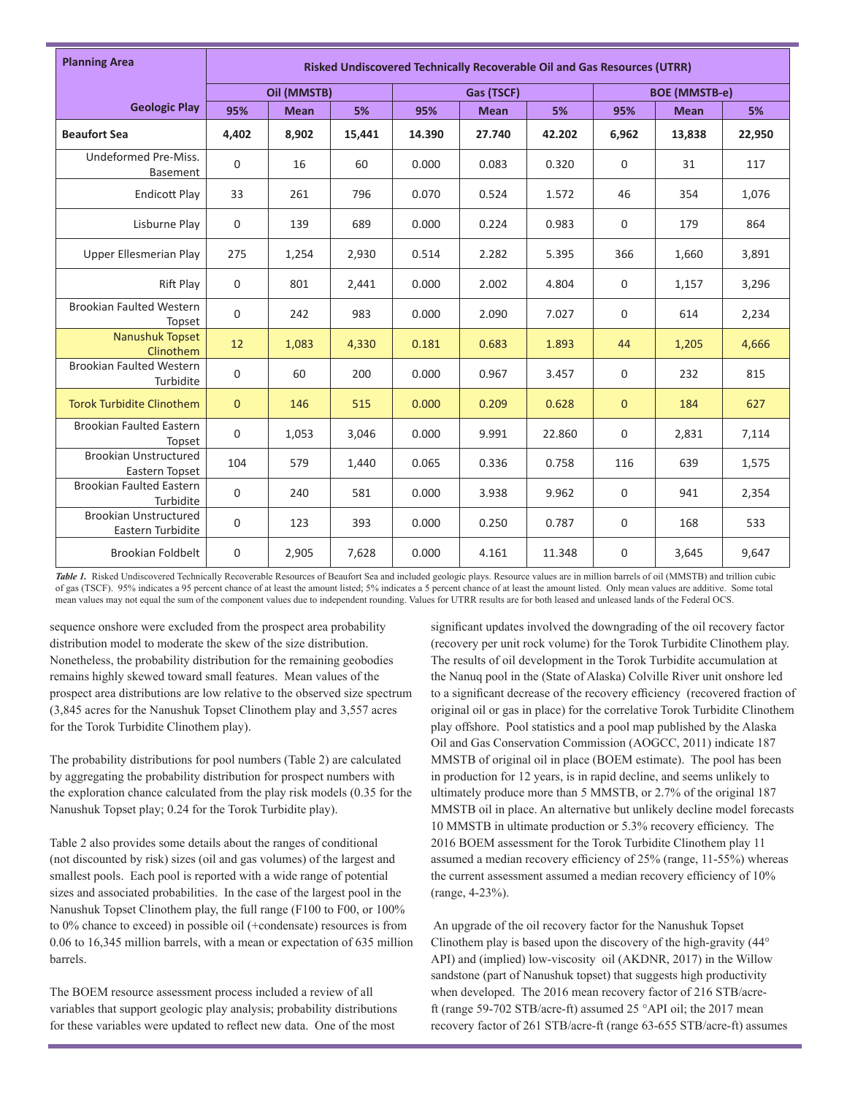| <b>Planning Area</b>                              | Risked Undiscovered Technically Recoverable Oil and Gas Resources (UTRR) |             |        |        |             |        |                      |             |        |  |
|---------------------------------------------------|--------------------------------------------------------------------------|-------------|--------|--------|-------------|--------|----------------------|-------------|--------|--|
|                                                   | Oil (MMSTB)                                                              |             |        |        | Gas (TSCF)  |        | <b>BOE (MMSTB-e)</b> |             |        |  |
| <b>Geologic Play</b>                              | 95%                                                                      | <b>Mean</b> | 5%     | 95%    | <b>Mean</b> | 5%     | 95%                  | <b>Mean</b> | 5%     |  |
| <b>Beaufort Sea</b>                               | 4,402                                                                    | 8,902       | 15,441 | 14.390 | 27.740      | 42.202 | 6,962                | 13,838      | 22,950 |  |
| Undeformed Pre-Miss.<br>Basement                  | $\Omega$                                                                 | 16          | 60     | 0.000  | 0.083       | 0.320  | $\mathbf 0$          | 31          | 117    |  |
| <b>Endicott Play</b>                              | 33                                                                       | 261         | 796    | 0.070  | 0.524       | 1.572  | 46                   | 354         | 1,076  |  |
| Lisburne Play                                     | $\mathbf 0$                                                              | 139         | 689    | 0.000  | 0.224       | 0.983  | $\mathbf 0$          | 179         | 864    |  |
| <b>Upper Ellesmerian Play</b>                     | 275                                                                      | 1,254       | 2,930  | 0.514  | 2.282       | 5.395  | 366                  | 1,660       | 3,891  |  |
| Rift Play                                         | $\mathbf 0$                                                              | 801         | 2,441  | 0.000  | 2.002       | 4.804  | 0                    | 1,157       | 3,296  |  |
| <b>Brookian Faulted Western</b><br>Topset         | $\mathbf 0$                                                              | 242         | 983    | 0.000  | 2.090       | 7.027  | $\mathbf 0$          | 614         | 2,234  |  |
| Nanushuk Topset<br>Clinothem                      | 12                                                                       | 1,083       | 4,330  | 0.181  | 0.683       | 1.893  | 44                   | 1,205       | 4,666  |  |
| <b>Brookian Faulted Western</b><br>Turbidite      | $\mathbf 0$                                                              | 60          | 200    | 0.000  | 0.967       | 3.457  | $\mathbf 0$          | 232         | 815    |  |
| <b>Torok Turbidite Clinothem</b>                  | $\overline{0}$                                                           | 146         | 515    | 0.000  | 0.209       | 0.628  | $\mathbf{0}$         | 184         | 627    |  |
| <b>Brookian Faulted Eastern</b><br>Topset         | $\mathbf 0$                                                              | 1,053       | 3,046  | 0.000  | 9.991       | 22.860 | 0                    | 2,831       | 7,114  |  |
| <b>Brookian Unstructured</b><br>Eastern Topset    | 104                                                                      | 579         | 1,440  | 0.065  | 0.336       | 0.758  | 116                  | 639         | 1,575  |  |
| Brookian Faulted Eastern<br>Turbidite             | $\mathbf 0$                                                              | 240         | 581    | 0.000  | 3.938       | 9.962  | 0                    | 941         | 2,354  |  |
| <b>Brookian Unstructured</b><br>Eastern Turbidite | $\mathbf 0$                                                              | 123         | 393    | 0.000  | 0.250       | 0.787  | $\mathbf 0$          | 168         | 533    |  |
| <b>Brookian Foldbelt</b>                          | $\mathbf 0$                                                              | 2,905       | 7,628  | 0.000  | 4.161       | 11.348 | 0                    | 3,645       | 9,647  |  |

Table 1. Risked Undiscovered Technically Recoverable Resources of Beaufort Sea and included geologic plays. Resource values are in million barrels of oil (MMSTB) and trillion cubic of gas (TSCF). 95% indicates a 95 percent chance of at least the amount listed; 5% indicates a 5 percent chance of at least the amount listed. Only mean values are additive. Some total mean values may not equal the sum of the component values due to independent rounding. Values for UTRR results are for both leased and unleased lands of the Federal OCS.

sequence onshore were excluded from the prospect area probability distribution model to moderate the skew of the size distribution. Nonetheless, the probability distribution for the remaining geobodies remains highly skewed toward small features. Mean values of the prospect area distributions are low relative to the observed size spectrum (3,845 acres for the Nanushuk Topset Clinothem play and 3,557 acres for the Torok Turbidite Clinothem play).

The probability distributions for pool numbers (Table 2) are calculated by aggregating the probability distribution for prospect numbers with the exploration chance calculated from the play risk models (0.35 for the Nanushuk Topset play; 0.24 for the Torok Turbidite play).

Table 2 also provides some details about the ranges of conditional (not discounted by risk) sizes (oil and gas volumes) of the largest and smallest pools. Each pool is reported with a wide range of potential sizes and associated probabilities. In the case of the largest pool in the Nanushuk Topset Clinothem play, the full range (F100 to F00, or 100% to 0% chance to exceed) in possible oil (+condensate) resources is from 0.06 to 16,345 million barrels, with a mean or expectation of 635 million barrels.

The BOEM resource assessment process included a review of all variables that support geologic play analysis; probability distributions for these variables were updated to reflect new data. One of the most

significant updates involved the downgrading of the oil recovery factor (recovery per unit rock volume) for the Torok Turbidite Clinothem play. The results of oil development in the Torok Turbidite accumulation at the Nanuq pool in the (State of Alaska) Colville River unit onshore led to a significant decrease of the recovery efficiency (recovered fraction of original oil or gas in place) for the correlative Torok Turbidite Clinothem play offshore. Pool statistics and a pool map published by the Alaska Oil and Gas Conservation Commission (AOGCC, 2011) indicate 187 MMSTB of original oil in place (BOEM estimate). The pool has been in production for 12 years, is in rapid decline, and seems unlikely to ultimately produce more than 5 MMSTB, or 2.7% of the original 187 MMSTB oil in place. An alternative but unlikely decline model forecasts 10 MMSTB in ultimate production or 5.3% recovery efficiency. The 2016 BOEM assessment for the Torok Turbidite Clinothem play 11 assumed a median recovery efficiency of 25% (range, 11-55%) whereas the current assessment assumed a median recovery efficiency of 10% (range, 4-23%).

 An upgrade of the oil recovery factor for the Nanushuk Topset Clinothem play is based upon the discovery of the high-gravity (44° API) and (implied) low-viscosity oil (AKDNR, 2017) in the Willow sandstone (part of Nanushuk topset) that suggests high productivity when developed. The 2016 mean recovery factor of 216 STB/acreft (range 59-702 STB/acre-ft) assumed 25 °API oil; the 2017 mean recovery factor of 261 STB/acre-ft (range 63-655 STB/acre-ft) assumes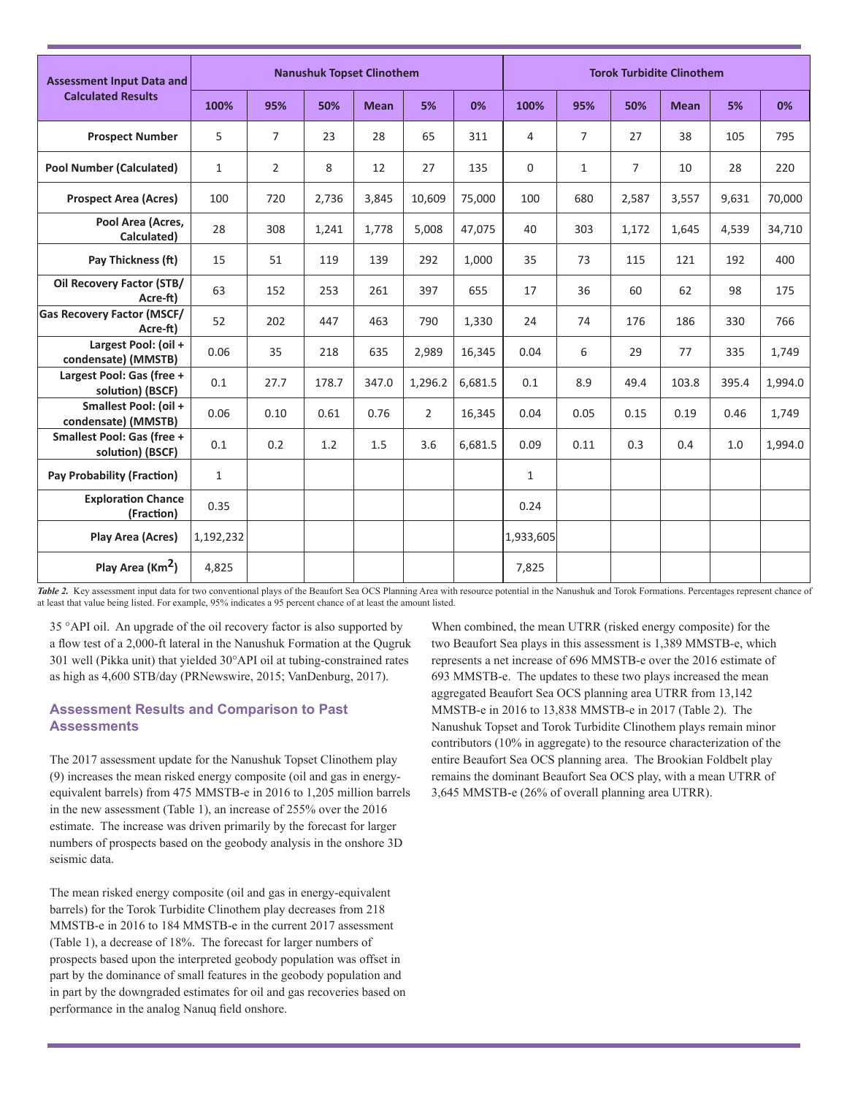| Assessment Input Data and<br><b>Calculated Results</b> | <b>Nanushuk Topset Clinothem</b> |                |       |             |                |         |              | <b>Torok Turbidite Clinothem</b> |                |             |       |         |  |
|--------------------------------------------------------|----------------------------------|----------------|-------|-------------|----------------|---------|--------------|----------------------------------|----------------|-------------|-------|---------|--|
|                                                        | 100%                             | 95%            | 50%   | <b>Mean</b> | 5%             | 0%      | 100%         | 95%                              | 50%            | <b>Mean</b> | 5%    | 0%      |  |
| <b>Prospect Number</b>                                 | 5                                | $\overline{7}$ | 23    | 28          | 65             | 311     | 4            | $\overline{7}$                   | 27             | 38          | 105   | 795     |  |
| <b>Pool Number (Calculated)</b>                        | $\mathbf{1}$                     | $\overline{2}$ | 8     | 12          | 27             | 135     | $\mathbf 0$  | $\mathbf{1}$                     | $\overline{7}$ | 10          | 28    | 220     |  |
| <b>Prospect Area (Acres)</b>                           | 100                              | 720            | 2,736 | 3,845       | 10.609         | 75,000  | 100          | 680                              | 2,587          | 3,557       | 9,631 | 70,000  |  |
| Pool Area (Acres,<br>Calculated)                       | 28                               | 308            | 1,241 | 1,778       | 5,008          | 47,075  | 40           | 303                              | 1,172          | 1,645       | 4,539 | 34,710  |  |
| Pay Thickness (ft)                                     | 15                               | 51             | 119   | 139         | 292            | 1,000   | 35           | 73                               | 115            | 121         | 192   | 400     |  |
| Oil Recovery Factor (STB/<br>Acre-ft)                  | 63                               | 152            | 253   | 261         | 397            | 655     | 17           | 36                               | 60             | 62          | 98    | 175     |  |
| <b>Gas Recovery Factor (MSCF/</b><br>Acre-ft)          | 52                               | 202            | 447   | 463         | 790            | 1,330   | 24           | 74                               | 176            | 186         | 330   | 766     |  |
| Largest Pool: (oil +<br>condensate) (MMSTB)            | 0.06                             | 35             | 218   | 635         | 2,989          | 16,345  | 0.04         | 6                                | 29             | 77          | 335   | 1,749   |  |
| Largest Pool: Gas (free +<br>solution) (BSCF)          | 0.1                              | 27.7           | 178.7 | 347.0       | 1,296.2        | 6,681.5 | 0.1          | 8.9                              | 49.4           | 103.8       | 395.4 | 1,994.0 |  |
| Smallest Pool: (oil +<br>condensate) (MMSTB)           | 0.06                             | 0.10           | 0.61  | 0.76        | $\overline{2}$ | 16,345  | 0.04         | 0.05                             | 0.15           | 0.19        | 0.46  | 1,749   |  |
| Smallest Pool: Gas (free +<br>solution) (BSCF)         | 0.1                              | 0.2            | 1.2   | 1.5         | 3.6            | 6,681.5 | 0.09         | 0.11                             | 0.3            | 0.4         | 1.0   | 1,994.0 |  |
| <b>Pay Probability (Fraction)</b>                      | $\mathbf{1}$                     |                |       |             |                |         | $\mathbf{1}$ |                                  |                |             |       |         |  |
| <b>Exploration Chance</b><br>(Fraction)                | 0.35                             |                |       |             |                |         | 0.24         |                                  |                |             |       |         |  |
| Play Area (Acres)                                      | 1,192,232                        |                |       |             |                |         | 1,933,605    |                                  |                |             |       |         |  |
| Play Area (Km <sup>2</sup> )                           | 4,825                            |                |       |             |                |         | 7,825        |                                  |                |             |       |         |  |

Table 2. Key assessment input data for two conventional plays of the Beaufort Sea OCS Planning Area with resource potential in the Nanushuk and Torok Formations. Percentages represent chance of at least that value being listed. For example, 95% indicates a 95 percent chance of at least the amount listed.

35 °API oil. An upgrade of the oil recovery factor is also supported by a flow test of a 2,000-ft lateral in the Nanushuk Formation at the Qugruk 301 well (Pikka unit) that yielded 30°API oil at tubing-constrained rates as high as 4,600 STB/day (PRNewswire, 2015; VanDenburg, 2017).

### **Assessment Results and Comparison to Past Assessments**

The 2017 assessment update for the Nanushuk Topset Clinothem play (9) increases the mean risked energy composite (oil and gas in energyequivalent barrels) from 475 MMSTB-e in 2016 to 1,205 million barrels in the new assessment (Table 1), an increase of 255% over the 2016 estimate. The increase was driven primarily by the forecast for larger numbers of prospects based on the geobody analysis in the onshore 3D seismic data.

The mean risked energy composite (oil and gas in energy-equivalent barrels) for the Torok Turbidite Clinothem play decreases from 218 MMSTB-e in 2016 to 184 MMSTB-e in the current 2017 assessment (Table 1), a decrease of 18%. The forecast for larger numbers of prospects based upon the interpreted geobody population was offset in part by the dominance of small features in the geobody population and in part by the downgraded estimates for oil and gas recoveries based on performance in the analog Nanuq field onshore.

When combined, the mean UTRR (risked energy composite) for the two Beaufort Sea plays in this assessment is 1,389 MMSTB-e, which represents a net increase of 696 MMSTB-e over the 2016 estimate of 693 MMSTB-e. The updates to these two plays increased the mean aggregated Beaufort Sea OCS planning area UTRR from 13,142 MMSTB-e in 2016 to 13,838 MMSTB-e in 2017 (Table 2). The Nanushuk Topset and Torok Turbidite Clinothem plays remain minor contributors (10% in aggregate) to the resource characterization of the entire Beaufort Sea OCS planning area. The Brookian Foldbelt play remains the dominant Beaufort Sea OCS play, with a mean UTRR of 3,645 MMSTB-e (26% of overall planning area UTRR).